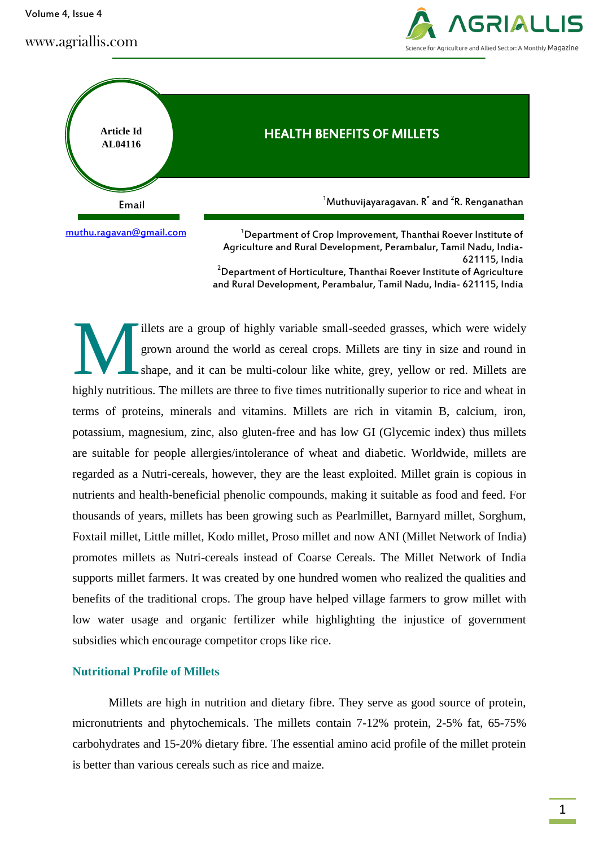Volume 4, Issue 4

www.agriallis.com





 $2$ Department of Horticulture, Thanthai Roever Institute of Agriculture and Rural Development, Perambalur, Tamil Nadu, India- 621115, India

illets are a group of highly variable small-seeded grasses, which were widely grown around the world as cereal crops. Millets are tiny in size and round in shape, and it can be multi-colour like white, grey, yellow or red. Millets are highly nutritious. The millets are three to five times nutritionally superior to rice and wheat in terms of proteins, minerals and vitamins. Millets are rich in vitamin B, calcium, iron, potassium, magnesium, zinc, also gluten-free and has low GI (Glycemic index) thus millets are suitable for people allergies/intolerance of wheat and diabetic. Worldwide, millets are regarded as a Nutri-cereals, however, they are the least exploited. Millet grain is copious in nutrients and health-beneficial phenolic compounds, making it suitable as food and feed. For thousands of years, millets has been growing such as Pearlmillet, Barnyard millet, Sorghum, Foxtail millet, Little millet, Kodo millet, Proso millet and now ANI (Millet Network of India) promotes millets as Nutri-cereals instead of Coarse Cereals. The Millet Network of India supports millet farmers. It was created by one hundred women who realized the qualities and benefits of the traditional crops. The group have helped village farmers to grow millet with low water usage and organic fertilizer while highlighting the injustice of government subsidies which encourage competitor crops like rice. M

## **Nutritional Profile of Millets**

Millets are high in nutrition and dietary fibre. They serve as good source of protein, micronutrients and phytochemicals. The millets contain 7-12% protein, 2-5% fat, 65-75% carbohydrates and 15-20% dietary fibre. The essential amino acid profile of the millet protein is better than various cereals such as rice and maize.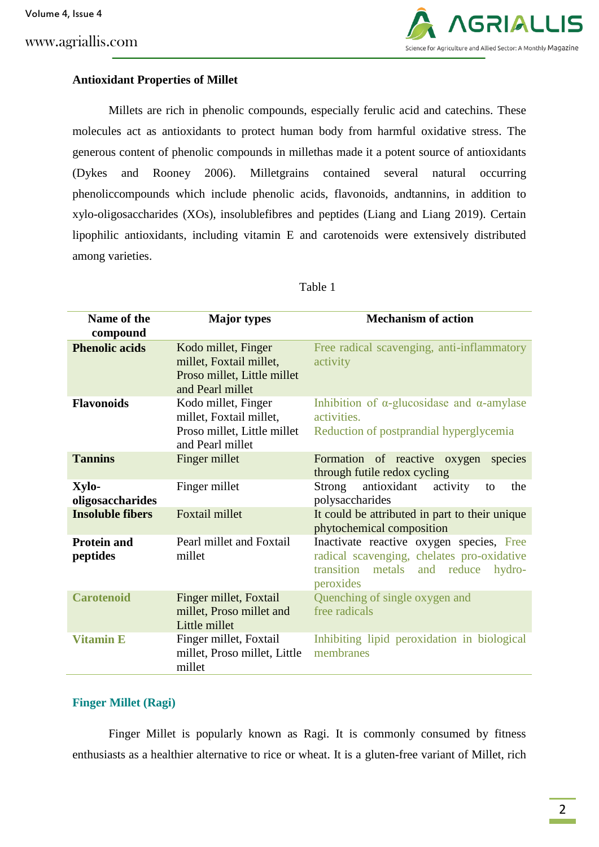www.agriallis.com



## **Antioxidant Properties of Millet**

Millets are rich in phenolic compounds, especially ferulic acid and catechins. These molecules act as antioxidants to protect human body from harmful oxidative stress. The generous content of phenolic compounds in millethas made it a potent source of antioxidants (Dykes and Rooney 2006). Milletgrains contained several natural occurring phenoliccompounds which include phenolic acids, flavonoids, andtannins, in addition to xylo-oligosaccharides (XOs), insolublefibres and peptides (Liang and Liang 2019). Certain lipophilic antioxidants, including vitamin E and carotenoids were extensively distributed among varieties.

| Name of the<br>compound        | <b>Major</b> types                                                                                | <b>Mechanism of action</b>                                                                                                                    |  |  |  |
|--------------------------------|---------------------------------------------------------------------------------------------------|-----------------------------------------------------------------------------------------------------------------------------------------------|--|--|--|
| <b>Phenolic acids</b>          | Kodo millet, Finger<br>millet, Foxtail millet,<br>Proso millet, Little millet<br>and Pearl millet | Free radical scavenging, anti-inflammatory<br>activity                                                                                        |  |  |  |
| <b>Flavonoids</b>              | Kodo millet, Finger<br>millet, Foxtail millet,<br>Proso millet, Little millet<br>and Pearl millet | Inhibition of $\alpha$ -glucosidase and $\alpha$ -amylase<br>activities.<br>Reduction of postprandial hyperglycemia                           |  |  |  |
| <b>Tannins</b>                 | Finger millet                                                                                     | Formation of reactive oxygen<br>species<br>through futile redox cycling                                                                       |  |  |  |
| Xylo-<br>oligosaccharides      | Finger millet                                                                                     | antioxidant<br>Strong<br>activity<br>the<br>to<br>polysaccharides                                                                             |  |  |  |
| <b>Insoluble fibers</b>        | <b>Foxtail millet</b>                                                                             | It could be attributed in part to their unique<br>phytochemical composition                                                                   |  |  |  |
| <b>Protein and</b><br>peptides | Pearl millet and Foxtail<br>millet                                                                | Inactivate reactive oxygen species, Free<br>radical scavenging, chelates pro-oxidative<br>transition metals and reduce<br>hydro-<br>peroxides |  |  |  |
| <b>Carotenoid</b>              | Finger millet, Foxtail<br>millet, Proso millet and<br>Little millet                               | Quenching of single oxygen and<br>free radicals                                                                                               |  |  |  |
| <b>Vitamin E</b>               | Finger millet, Foxtail<br>millet, Proso millet, Little<br>millet                                  | Inhibiting lipid peroxidation in biological<br>membranes                                                                                      |  |  |  |

### Table 1

## **Finger Millet (Ragi)**

Finger Millet is popularly known as Ragi. It is commonly consumed by fitness enthusiasts as a healthier alternative to rice or wheat. It is a gluten-free variant of Millet, rich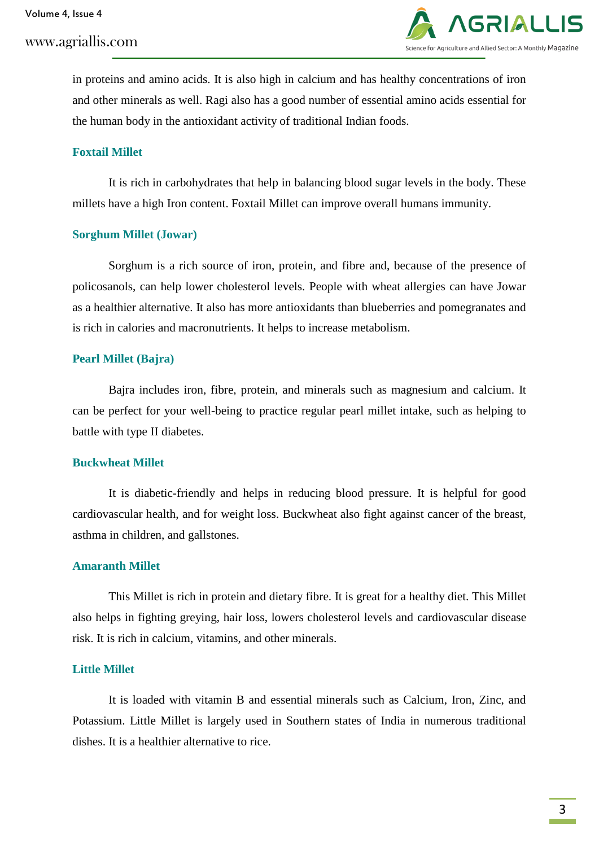

in proteins and amino acids. It is also high in calcium and has healthy concentrations of iron and other minerals as well. Ragi also has a good number of essential amino acids essential for the human body in the antioxidant activity of traditional Indian foods.

### **Foxtail Millet**

It is rich in carbohydrates that help in balancing blood sugar levels in the body. These millets have a high Iron content. Foxtail Millet can improve overall humans immunity.

#### **Sorghum Millet (Jowar)**

Sorghum is a rich source of iron, protein, and fibre and, because of the presence of policosanols, can help lower cholesterol levels. People with wheat allergies can have Jowar as a healthier alternative. It also has more antioxidants than blueberries and pomegranates and is rich in calories and macronutrients. It helps to increase metabolism.

### **Pearl Millet (Bajra)**

Bajra includes iron, fibre, protein, and minerals such as magnesium and calcium. It can be perfect for your well-being to practice regular pearl millet intake, such as helping to battle with type II diabetes.

### **Buckwheat Millet**

It is diabetic-friendly and helps in reducing blood pressure. It is helpful for good cardiovascular health, and for weight loss. Buckwheat also fight against cancer of the breast, asthma in children, and gallstones.

### **Amaranth Millet**

This Millet is rich in protein and dietary fibre. It is great for a healthy diet. This Millet also helps in fighting greying, hair loss, lowers cholesterol levels and cardiovascular disease risk. It is rich in calcium, vitamins, and other minerals.

#### **Little Millet**

It is loaded with vitamin B and essential minerals such as Calcium, Iron, Zinc, and Potassium. Little Millet is largely used in Southern states of India in numerous traditional dishes. It is a healthier alternative to rice.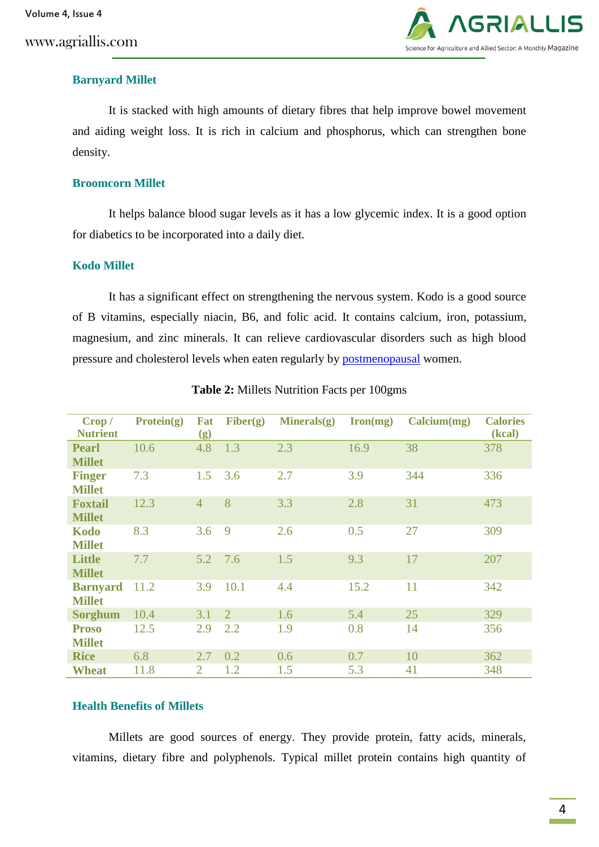www.agriallis.com



## **Barnyard Millet**

It is stacked with high amounts of dietary fibres that help improve bowel movement and aiding weight loss. It is rich in calcium and phosphorus, which can strengthen bone density.

### **Broomcorn Millet**

It helps balance blood sugar levels as it has a low glycemic index. It is a good option for diabetics to be incorporated into a daily diet.

### **Kodo Millet**

It has a significant effect on strengthening the nervous system. Kodo is a good source of B vitamins, especially niacin, B6, and folic acid. It contains calcium, iron, potassium, magnesium, and zinc minerals. It can relieve cardiovascular disorders such as high blood pressure and cholesterol levels when eaten regularly by [postmenopausal](https://healthcare.utah.edu/womenshealth/gynecology/menopause/postmenopause.php) women.

| Crop /<br><b>Nutrient</b>        | Protein(g) | Fat<br>(g)     | Fiber(g)       | Minerals(g) | $\mathbf{Iron}(mg)$ | Calcium(mg) | <b>Calories</b><br>(kcal) |
|----------------------------------|------------|----------------|----------------|-------------|---------------------|-------------|---------------------------|
| <b>Pearl</b><br><b>Millet</b>    | 10.6       | 4.8            | 1.3            | 2.3         | 16.9                | 38          | 378                       |
| <b>Finger</b><br><b>Millet</b>   | 7.3        | 1.5            | 3.6            | 2.7         | 3.9                 | 344         | 336                       |
| <b>Foxtail</b><br><b>Millet</b>  | 12.3       | $\overline{4}$ | 8              | 3.3         | 2.8                 | 31          | 473                       |
| Kodo<br><b>Millet</b>            | 8.3        | 3.6            | 9              | 2.6         | 0.5                 | 27          | 309                       |
| <b>Little</b><br><b>Millet</b>   | 7.7        | 5.2            | 7.6            | 1.5         | 9.3                 | 17          | 207                       |
| <b>Barnyard</b><br><b>Millet</b> | 11.2       | 3.9            | 10.1           | 4.4         | 15.2                | 11          | 342                       |
| <b>Sorghum</b>                   | 10.4       | 3.1            | $\overline{2}$ | 1.6         | 5.4                 | 25          | 329                       |
| <b>Proso</b><br><b>Millet</b>    | 12.5       | 2.9            | 2.2            | 1.9         | 0.8                 | 14          | 356                       |
| <b>Rice</b>                      | 6.8        | 2.7            | 0.2            | 0.6         | 0.7                 | 10          | 362                       |
| <b>Wheat</b>                     | 11.8       | $\overline{2}$ | 1.2            | 1.5         | 5.3                 | 41          | 348                       |

**Table 2:** Millets Nutrition Facts per 100gms

# **Health Benefits of Millets**

Millets are good sources of energy. They provide protein, fatty acids, minerals, vitamins, dietary fibre and polyphenols. Typical millet protein contains high quantity of